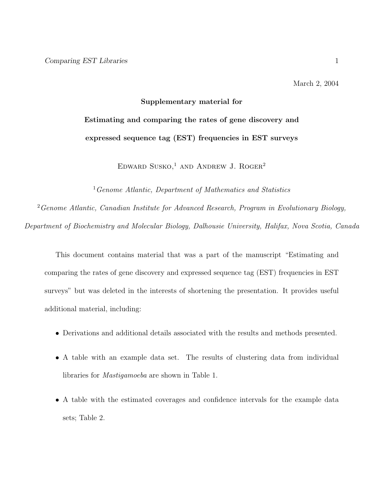March 2, 2004

# Supplementary material for Estimating and comparing the rates of gene discovery and expressed sequence tag (EST) frequencies in EST surveys

EDWARD SUSKO,<sup>1</sup> AND ANDREW J. ROGER<sup>2</sup>

 ${}^{1}Genome$  Atlantic, Department of Mathematics and Statistics

 $2G$ enome Atlantic, Canadian Institute for Advanced Research, Program in Evolutionary Biology, Department of Biochemistry and Molecular Biology, Dalhousie University, Halifax, Nova Scotia, Canada

This document contains material that was a part of the manuscript "Estimating and comparing the rates of gene discovery and expressed sequence tag (EST) frequencies in EST surveys" but was deleted in the interests of shortening the presentation. It provides useful additional material, including:

- Derivations and additional details associated with the results and methods presented.
- A table with an example data set. The results of clustering data from individual libraries for Mastigamoeba are shown in Table 1.
- A table with the estimated coverages and confidence intervals for the example data sets; Table 2.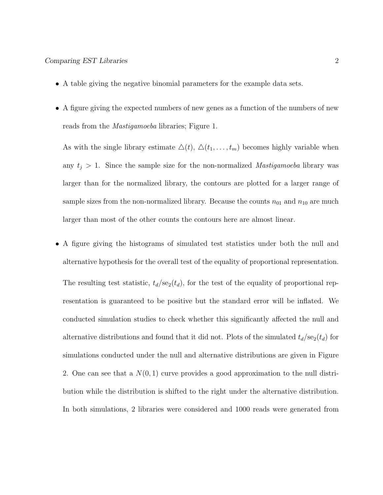- A table giving the negative binomial parameters for the example data sets.
- A figure giving the expected numbers of new genes as a function of the numbers of new reads from the Mastigamoeba libraries; Figure 1.

As with the single library estimate  $\Delta(t)$ ,  $\Delta(t_1, \ldots, t_m)$  becomes highly variable when any  $t_j > 1$ . Since the sample size for the non-normalized *Mastigamoeba* library was larger than for the normalized library, the contours are plotted for a larger range of sample sizes from the non-normalized library. Because the counts  $n_{01}$  and  $n_{10}$  are much larger than most of the other counts the contours here are almost linear.

• A figure giving the histograms of simulated test statistics under both the null and alternative hypothesis for the overall test of the equality of proportional representation. The resulting test statistic,  $t_d$ /se<sub>2</sub>( $t_d$ ), for the test of the equality of proportional representation is guaranteed to be positive but the standard error will be inflated. We conducted simulation studies to check whether this significantly affected the null and alternative distributions and found that it did not. Plots of the simulated  $t_d$ /se<sub>2</sub>( $t_d$ ) for simulations conducted under the null and alternative distributions are given in Figure 2. One can see that a  $N(0, 1)$  curve provides a good approximation to the null distribution while the distribution is shifted to the right under the alternative distribution. In both simulations, 2 libraries were considered and 1000 reads were generated from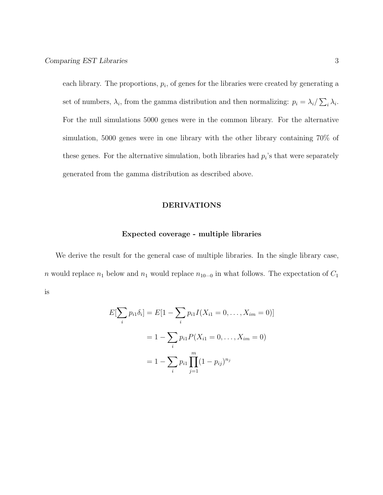each library. The proportions,  $p_i$ , of genes for the libraries were created by generating a set of numbers,  $\lambda_i$ , from the gamma distribution and then normalizing:  $p_i = \lambda_i / \sum_i \lambda_i$ . For the null simulations 5000 genes were in the common library. For the alternative simulation, 5000 genes were in one library with the other library containing 70% of these genes. For the alternative simulation, both libraries had  $p_i$ 's that were separately generated from the gamma distribution as described above.

## DERIVATIONS

#### Expected coverage - multiple libraries

We derive the result for the general case of multiple libraries. In the single library case, n would replace  $n_1$  below and  $n_1$  would replace  $n_{10\cdots 0}$  in what follows. The expectation of  $C_1$ is

$$
E[\sum_{i} p_{i1}\delta_{i}] = E[1 - \sum_{i} p_{i1}I(X_{i1} = 0, ..., X_{im} = 0)]
$$

$$
= 1 - \sum_{i} p_{i1}P(X_{i1} = 0, ..., X_{im} = 0)
$$

$$
= 1 - \sum_{i} p_{i1} \prod_{j=1}^{m} (1 - p_{ij})^{n_j}
$$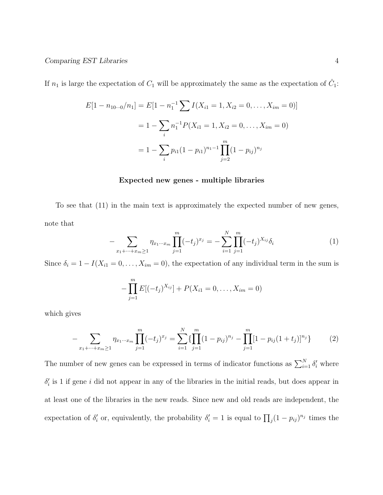If  $n_1$  is large the expectation of  $C_1$  will be approximately the same as the expectation of  $\hat{C}_1$ :

$$
E[1 - n_{10\cdots0}/n_1] = E[1 - n_1^{-1} \sum I(X_{i1} = 1, X_{i2} = 0, \dots, X_{im} = 0)]
$$
  
=  $1 - \sum_i n_1^{-1} P(X_{i1} = 1, X_{i2} = 0, \dots, X_{im} = 0)$   
=  $1 - \sum_i p_{i1} (1 - p_{i1})^{n_1 - 1} \prod_{j=2}^{m} (1 - p_{ij})^{n_j}$ 

#### Expected new genes - multiple libraries

To see that (11) in the main text is approximately the expected number of new genes, note that

$$
-\sum_{x_1+\dots+x_m\geq 1} \eta_{x_1\cdots x_m} \prod_{j=1}^m (-t_j)^{x_j} = -\sum_{i=1}^N \prod_{j=1}^m (-t_j)^{X_{ij}} \delta_i \tag{1}
$$

Since  $\delta_i = 1 - I(X_{i1} = 0, \dots, X_{im} = 0)$ , the expectation of any individual term in the sum is

$$
-\prod_{j=1}^{m} E[(-t_j)^{X_{ij}}] + P(X_{i1} = 0, \dots, X_{im} = 0)
$$

which gives

$$
-\sum_{x_1+\dots+x_m\geq 1}\eta_{x_1\cdots x_m}\prod_{j=1}^m(-t_j)^{x_j}=\sum_{i=1}^N\{\prod_{j=1}^m(1-p_{ij})^{n_j}-\prod_{j=1}^m[1-p_{ij}(1+t_j)]^{n_j}\}\qquad(2)
$$

The number of new genes can be expressed in terms of indicator functions as  $\sum_{i=1}^{N} \delta_i'$  where  $\delta_i'$  is 1 if gene i did not appear in any of the libraries in the initial reads, but does appear in at least one of the libraries in the new reads. Since new and old reads are independent, the expectation of  $\delta_i'$  or, equivalently, the probability  $\delta_i' = 1$  is equal to  $\prod_j (1 - p_{ij})^{n_j}$  times the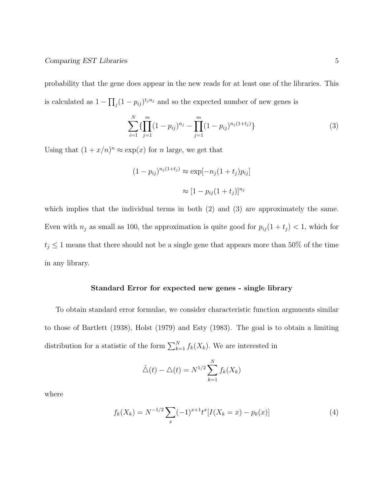probability that the gene does appear in the new reads for at least one of the libraries. This is calculated as  $1 - \prod_j (1 - p_{ij})^{t_j n_j}$  and so the expected number of new genes is

$$
\sum_{i=1}^{N} \{ \prod_{j=1}^{m} (1 - p_{ij})^{n_j} - \prod_{j=1}^{m} (1 - p_{ij})^{n_j (1 + t_j)} \}
$$
(3)

Using that  $(1 + x/n)^n \approx \exp(x)$  for *n* large, we get that

$$
(1 - p_{ij})^{n_j(1+t_j)} \approx \exp[-n_j(1+t_j)p_{ij}]
$$

$$
\approx [1 - p_{ij}(1+t_j)]^{n_j}
$$

which implies that the individual terms in both  $(2)$  and  $(3)$  are approximately the same. Even with  $n_j$  as small as 100, the approximation is quite good for  $p_{ij}(1 + t_j) < 1$ , which for  $t_j \leq 1$  means that there should not be a single gene that appears more than 50% of the time in any library.

## Standard Error for expected new genes - single library

To obtain standard error formulae, we consider characteristic function argmuents similar to those of Bartlett (1938), Holst (1979) and Esty (1983). The goal is to obtain a limiting distribution for a statistic of the form  $\sum_{k=1}^{N} f_k(X_k)$ . We are interested in

$$
\hat{\triangle}(t) - \triangle(t) = N^{1/2} \sum_{k=1}^{N} f_k(X_k)
$$

where

$$
f_k(X_k) = N^{-1/2} \sum_x (-1)^{x+1} t^x [I(X_k = x) - p_k(x)] \tag{4}
$$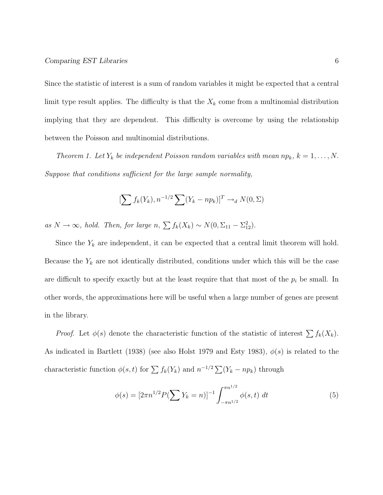Since the statistic of interest is a sum of random variables it might be expected that a central limit type result applies. The difficulty is that the  $X_k$  come from a multinomial distribution implying that they are dependent. This difficulty is overcome by using the relationship between the Poisson and multinomial distributions.

Theorem 1. Let  $Y_k$  be independent Poisson random variables with mean  $np_k$ ,  $k = 1, ..., N$ . Suppose that conditions sufficient for the large sample normality,

$$
[\sum f_k(Y_k), n^{-1/2} \sum (Y_k - np_k)]^T \rightarrow_d N(0, \Sigma)
$$

as  $N \to \infty$ , hold. Then, for large  $n, \sum f_k(X_k) \sim N(0, \Sigma_{11} - \Sigma_{12}^2)$ .

Since the  $Y_k$  are independent, it can be expected that a central limit theorem will hold. Because the  $Y_k$  are not identically distributed, conditions under which this will be the case are difficult to specify exactly but at the least require that that most of the  $p_i$  be small. In other words, the approximations here will be useful when a large number of genes are present in the library.

*Proof.* Let  $\phi(s)$  denote the characteristic function of the statistic of interest  $\sum f_k(X_k)$ . As indicated in Bartlett (1938) (see also Holst 1979 and Esty 1983),  $\phi(s)$  is related to the characteristic function  $\phi(s,t)$  for  $\sum f_k(Y_k)$  and  $n^{-1/2} \sum (Y_k - np_k)$  through

$$
\phi(s) = [2\pi n^{1/2} P(\sum Y_k = n)]^{-1} \int_{-\pi n^{1/2}}^{\pi n^{1/2}} \phi(s, t) dt
$$
\n(5)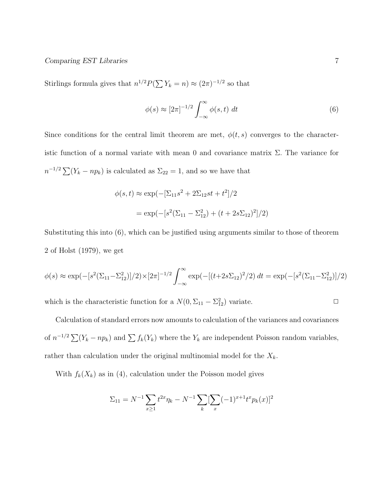Stirlings formula gives that  $n^{1/2} P(\sum Y_k = n) \approx (2\pi)^{-1/2}$  so that

$$
\phi(s) \approx [2\pi]^{-1/2} \int_{-\infty}^{\infty} \phi(s, t) dt
$$
\n(6)

Since conditions for the central limit theorem are met,  $\phi(t, s)$  converges to the characteristic function of a normal variate with mean 0 and covariance matrix  $\Sigma$ . The variance for  $n^{-1/2} \sum (Y_k - np_k)$  is calculated as  $\Sigma_{22} = 1$ , and so we have that

$$
\phi(s,t) \approx \exp(-[\Sigma_{11} s^2 + 2\Sigma_{12} st + t^2]/2
$$
  
=  $\exp(-[s^2(\Sigma_{11} - \Sigma_{12}^2) + (t + 2s\Sigma_{12})^2]/2)$ 

Substituting this into (6), which can be justified using arguments similar to those of theorem 2 of Holst (1979), we get

$$
\phi(s) \approx \exp(-[s^2(\Sigma_{11}-\Sigma_{12}^2)]/2) \times [2\pi]^{-1/2} \int_{-\infty}^{\infty} \exp(-[(t+2s\Sigma_{12})^2/2) dt = \exp(-[s^2(\Sigma_{11}-\Sigma_{12}^2)]/2)
$$

which is the characteristic function for a  $N(0, \Sigma_{11} - \Sigma_{12}^2)$  variate.  $\square$ 

Calculation of standard errors now amounts to calculation of the variances and covariances of  $n^{-1/2} \sum (Y_k - np_k)$  and  $\sum f_k(Y_k)$  where the  $Y_k$  are independent Poisson random variables, rather than calculation under the original multinomial model for the  $X_k$ .

With  $f_k(X_k)$  as in (4), calculation under the Poisson model gives

$$
\Sigma_{11} = N^{-1} \sum_{x \ge 1} t^{2x} \eta_k - N^{-1} \sum_k [\sum_x (-1)^{x+1} t^x p_k(x)]^2
$$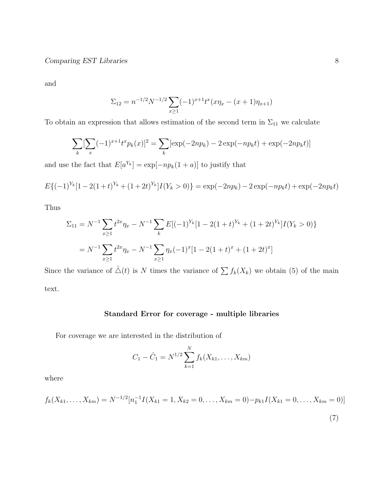and

$$
\Sigma_{12} = n^{-1/2} N^{-1/2} \sum_{x \ge 1} (-1)^{x+1} t^x (x \eta_x - (x+1) \eta_{x+1})
$$

To obtain an expression that allows estimation of the second term in  $\Sigma_{11}$  we calculate

$$
\sum_{k} \left[ \sum_{x} (-1)^{x+1} t^x p_k(x) \right]^2 = \sum_{k} \left[ \exp(-2np_k) - 2 \exp(-np_k t) + \exp(-2np_k t) \right]
$$

and use the fact that  $E[a^{Y_k}] = \exp[-np_k(1+a)]$  to justify that

$$
E\{(-1)^{Y_k}[1 - 2(1+t)^{Y_k} + (1+2t)^{Y_k}]I(Y_k > 0)\} = \exp(-2np_k) - 2\exp(-np_kt) + \exp(-2np_kt)
$$

Thus

$$
\Sigma_{11} = N^{-1} \sum_{x \ge 1} t^{2x} \eta_x - N^{-1} \sum_k E[(-1)^{Y_k} [1 - 2(1 + t)^{Y_k} + (1 + 2t)^{Y_k}] I(Y_k > 0) \}
$$
  
= 
$$
N^{-1} \sum_{x \ge 1} t^{2x} \eta_x - N^{-1} \sum_{x \ge 1} \eta_x (-1)^x [1 - 2(1 + t)^x + (1 + 2t)^x]
$$

Since the variance of  $\hat{\triangle}(t)$  is N times the variance of  $\sum f_k(X_k)$  we obtain (5) of the main text.

## Standard Error for coverage - multiple libraries

For coverage we are interested in the distribution of

$$
C_1 - \hat{C}_1 = N^{1/2} \sum_{k=1}^{N} f_k(X_{k1}, \dots, X_{km})
$$

where

$$
f_k(X_{k1},\ldots,X_{km}) = N^{-1/2}[n_1^{-1}I(X_{k1}=1,X_{k2}=0,\ldots,X_{km}=0)-p_{k1}I(X_{k1}=0,\ldots,X_{km}=0)]
$$
\n(7)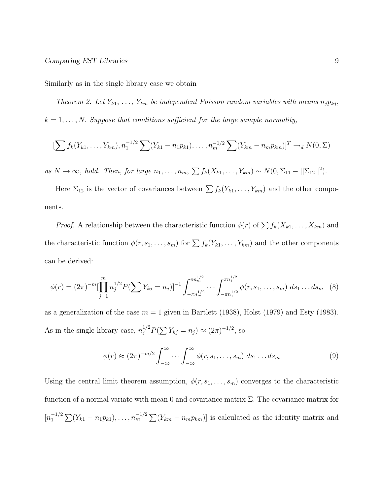Similarly as in the single library case we obtain

Theorem 2. Let  $Y_{k1}, \ldots, Y_{km}$  be independent Poisson random variables with means  $n_j p_{kj}$ ,  $k = 1, \ldots, N$ . Suppose that conditions sufficient for the large sample normality,

$$
\left[\sum f_k(Y_{k1},\ldots,Y_{km}),n_1^{-1/2}\sum (Y_{k1}-n_1p_{k1}),\ldots,n_m^{-1/2}\sum (Y_{km}-n_mp_{km})\right]^T\to_d N(0,\Sigma)
$$

as  $N \to \infty$ , hold. Then, for large  $n_1, \ldots, n_m$ ,  $\sum f_k(X_{k1}, \ldots, Y_{km}) \sim N(0, \Sigma_{11} - ||\Sigma_{12}||^2)$ .

Here  $\Sigma_{12}$  is the vector of covariances between  $\sum f_k(Y_{k1}, \ldots, Y_{km})$  and the other components.

*Proof.* A relationship between the characteristic function  $\phi(r)$  of  $\sum f_k(X_{k1}, \ldots, X_{km})$  and the characteristic function  $\phi(r, s_1, \ldots, s_m)$  for  $\sum f_k(Y_{k1}, \ldots, Y_{km})$  and the other components can be derived:

$$
\phi(r) = (2\pi)^{-m} \left[ \prod_{j=1}^{m} n_j^{1/2} P(\sum Y_{kj} = n_j) \right]^{-1} \int_{-\pi n_m^{1/2}}^{\pi n_m^{1/2}} \cdots \int_{-\pi n_1^{1/2}}^{\pi n_1^{1/2}} \phi(r, s_1, \dots, s_m) \ ds_1 \dots ds_m \quad (8)
$$

as a generalization of the case  $m = 1$  given in Bartlett (1938), Holst (1979) and Esty (1983). As in the single library case,  $n_j^{1/2} P(\sum Y_{kj} = n_j) \approx (2\pi)^{-1/2}$ , so

$$
\phi(r) \approx (2\pi)^{-m/2} \int_{-\infty}^{\infty} \cdots \int_{-\infty}^{\infty} \phi(r, s_1, \dots, s_m) ds_1 \dots ds_m
$$
 (9)

Using the central limit theorem assumption,  $\phi(r, s_1, \ldots, s_m)$  converges to the characteristic function of a normal variate with mean 0 and covariance matrix  $\Sigma$ . The covariance matrix for  $[n_1^{-1/2}]$  $n_1^{-1/2}\sum_{k_1} (Y_{k_1} - n_1 p_{k_1}), \ldots, n_m^{-1/2}\sum_{k_m} (Y_{km} - n_m p_{km})$  is calculated as the identity matrix and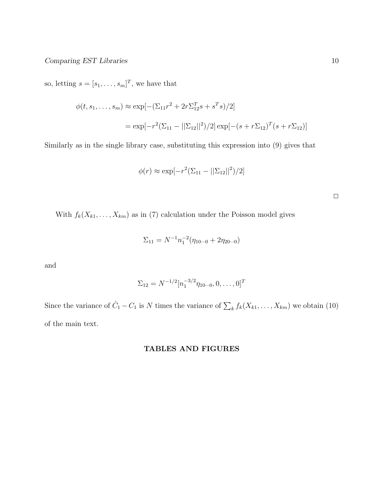so, letting  $s = [s_1, \ldots, s_m]^T$ , we have that

$$
\phi(t, s_1, \dots, s_m) \approx \exp[-(\Sigma_{11}r^2 + 2r\Sigma_{12}^T s + s^T s)/2]
$$
  
= 
$$
\exp[-r^2(\Sigma_{11} - ||\Sigma_{12}||^2)/2] \exp[-(s + r\Sigma_{12})^T (s + r\Sigma_{12})]
$$

Similarly as in the single library case, substituting this expression into (9) gives that

$$
\phi(r) \approx \exp[-r^2(\Sigma_{11} - ||\Sigma_{12}||^2)/2]
$$

With  $f_k(X_{k1}, \ldots, X_{km})$  as in (7) calculation under the Poisson model gives

$$
\Sigma_{11} = N^{-1} n_1^{-2} (\eta_{10\cdots 0} + 2 \eta_{20\cdots 0})
$$

and

$$
\Sigma_{12} = N^{-1/2} [n_1^{-3/2} \eta_{10\cdots 0}, 0, \ldots, 0]^T
$$

Since the variance of  $\hat{C}_1 - C_1$  is N times the variance of  $\sum_k f_k(X_{k1}, \ldots, X_{km})$  we obtain (10) of the main text.

# TABLES AND FIGURES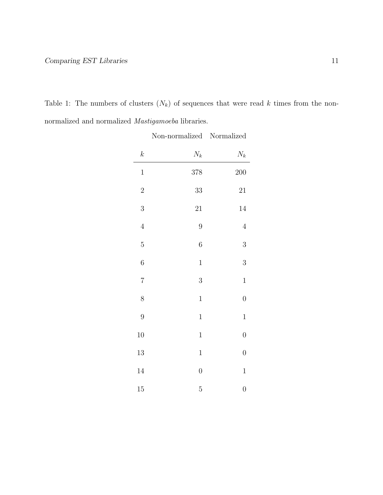Table 1: The numbers of clusters  $(N_k)$  of sequences that were read k times from the nonnormalized and normalized Mastigamoeba libraries.

|                  | Non-normalized   | Normalized       |
|------------------|------------------|------------------|
| $\boldsymbol{k}$ | $\mathcal{N}_k$  | $\mathcal{N}_k$  |
| $\mathbf 1$      | 378              | <b>200</b>       |
| $\overline{2}$   | 33               | 21               |
| 3                | 21               | 14               |
| $\overline{4}$   | 9                | $\overline{4}$   |
| $\overline{5}$   | $\,$ 6 $\,$      | 3                |
| $\boldsymbol{6}$ | $\mathbf{1}$     | 3                |
| $\overline{7}$   | 3                | $\mathbf{1}$     |
| 8                | $\mathbf{1}$     | $\boldsymbol{0}$ |
| 9                | $\mathbf{1}$     | $\mathbf{1}$     |
| 10               | $\mathbf 1$      | $\overline{0}$   |
| 13               | $\mathbf{1}$     | $\boldsymbol{0}$ |
| 14               | $\boldsymbol{0}$ | $\mathbf{1}$     |
| 15               | $\overline{5}$   | $\boldsymbol{0}$ |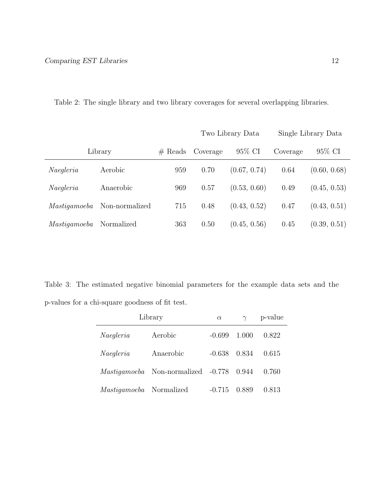Table 2: The single library and two library coverages for several overlapping libraries.

|                          |                |           | Two Library Data |              | Single Library Data |              |
|--------------------------|----------------|-----------|------------------|--------------|---------------------|--------------|
|                          | Library        | $#$ Reads | Coverage         | 95% CI       | Coverage            | 95% CI       |
| Naegleria                | Aerobic        | 959       | 0.70             | (0.67, 0.74) | 0.64                | (0.60, 0.68) |
| Naegleria                | Anaerobic      | 969       | 0.57             | (0.53, 0.60) | 0.49                | (0.45, 0.53) |
| $\mathit{Mast}$ iqamoeba | Non-normalized | 715       | 0.48             | (0.43, 0.52) | 0.47                | (0.43, 0.51) |
| $\mathit{Mast}$ iqamoeba | Normalized     | 363       | 0.50             | (0.45, 0.56) | 0.45                | (0.39, 0.51) |

Table 3: The estimated negative binomial parameters for the example data sets and the p-values for a chi-square goodness of fit test.

| Library                        |                                           | $\alpha$ | $\gamma$ | p-value |
|--------------------------------|-------------------------------------------|----------|----------|---------|
| Naegleria                      | Aerobic                                   | $-0.699$ | 1.000    | 0.822   |
| Naegleria                      | Anaerobic                                 | $-0.638$ | 0.834    | 0.615   |
|                                | <i>Mastigamoeba</i> Non-normalized -0.778 |          | 0.944    | 0.760   |
| <i>Mastigamoeba</i> Normalized |                                           | $-0.715$ | 0.889    | 0.813   |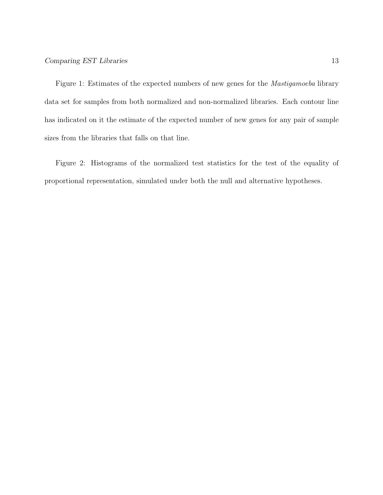Figure 1: Estimates of the expected numbers of new genes for the Mastigamoeba library data set for samples from both normalized and non-normalized libraries. Each contour line has indicated on it the estimate of the expected number of new genes for any pair of sample sizes from the libraries that falls on that line.

Figure 2: Histograms of the normalized test statistics for the test of the equality of proportional representation, simulated under both the null and alternative hypotheses.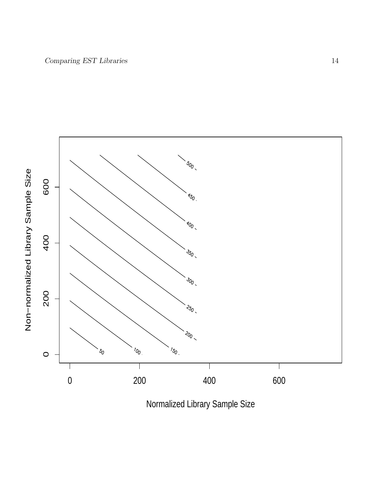

Normalized Library Sample Size